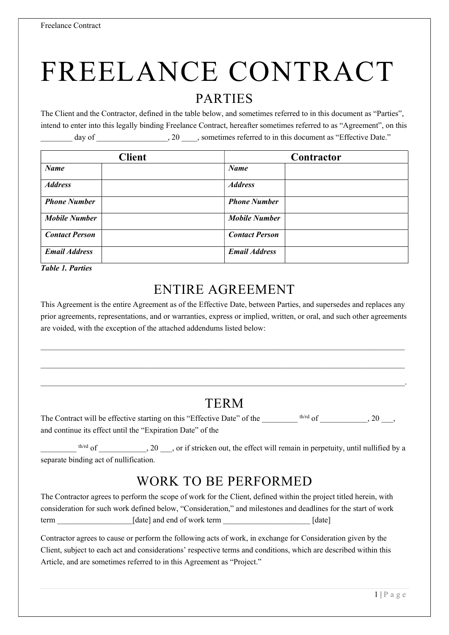# FREELANCE CONTRACT

#### PARTIES

The Client and the Contractor, defined in the table below, and sometimes referred to in this document as "Parties", intend to enter into this legally binding Freelance Contract, hereafter sometimes referred to as "Agreement", on this day of  $\qquad \qquad , 20 \qquad ,$  sometimes referred to in this document as "Effective Date."

| <b>Client</b>         | Contractor            |
|-----------------------|-----------------------|
| <b>Name</b>           | <b>Name</b>           |
| <b>Address</b>        | <b>Address</b>        |
| <b>Phone Number</b>   | <b>Phone Number</b>   |
| <b>Mobile Number</b>  | <b>Mobile Number</b>  |
| <b>Contact Person</b> | <b>Contact Person</b> |
| <b>Email Address</b>  | <b>Email Address</b>  |

Table 1. Parties

# ENTIRE AGREEMENT

This Agreement is the entire Agreement as of the Effective Date, between Parties, and supersedes and replaces any prior agreements, representations, and or warranties, express or implied, written, or oral, and such other agreements are voided, with the exception of the attached addendums listed below:

 $\mathcal{L}_\mathcal{L} = \mathcal{L}_\mathcal{L}$ 

## TERM

 $\mathcal{L}_\mathcal{L} = \mathcal{L}_\mathcal{L} = \mathcal{L}_\mathcal{L} = \mathcal{L}_\mathcal{L} = \mathcal{L}_\mathcal{L} = \mathcal{L}_\mathcal{L} = \mathcal{L}_\mathcal{L} = \mathcal{L}_\mathcal{L} = \mathcal{L}_\mathcal{L} = \mathcal{L}_\mathcal{L} = \mathcal{L}_\mathcal{L} = \mathcal{L}_\mathcal{L} = \mathcal{L}_\mathcal{L} = \mathcal{L}_\mathcal{L} = \mathcal{L}_\mathcal{L} = \mathcal{L}_\mathcal{L} = \mathcal{L}_\mathcal{L}$ 

The Contract will be effective starting on this "Effective Date" of the  $1/20$ ,  $20$ ,  $20$ and continue its effect until the "Expiration Date" of the

 $\sim$  $t<sup>th/rd</sup>$  of  $\qquad \qquad$ , 20  $\qquad$ , or if stricken out, the effect will remain in perpetuity, until nullified by a separate binding act of nullification.

# WORK TO BE PERFORMED

The Contractor agrees to perform the scope of work for the Client, defined within the project titled herein, with consideration for such work defined below, "Consideration," and milestones and deadlines for the start of work term \_\_\_\_\_\_\_\_\_\_\_\_\_\_\_\_\_\_\_[date] and end of work term \_\_\_\_\_\_\_\_\_\_\_\_\_\_\_\_\_\_\_\_\_\_ [date]

Contractor agrees to cause or perform the following acts of work, in exchange for Consideration given by the Client, subject to each act and considerations' respective terms and conditions, which are described within this Article, and are sometimes referred to in this Agreement as "Project."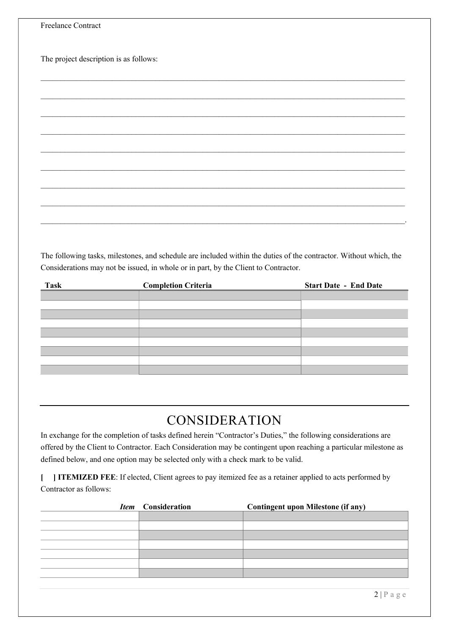| Freelance Contract                     |
|----------------------------------------|
|                                        |
| The project description is as follows: |
|                                        |
|                                        |
|                                        |
|                                        |
|                                        |
|                                        |
|                                        |
|                                        |
|                                        |
|                                        |

The following tasks, milestones, and schedule are included within the duties of the contractor. Without which, the Considerations may not be issued, in whole or in part, by the Client to Contractor.

| <b>Task</b> | <b>Completion Criteria</b> | <b>Start Date - End Date</b> |
|-------------|----------------------------|------------------------------|
|             |                            |                              |
|             |                            |                              |
|             |                            |                              |
|             |                            |                              |
|             |                            |                              |
|             |                            |                              |
|             |                            |                              |
|             |                            |                              |
|             |                            |                              |
|             |                            |                              |

# CONSIDERATION

In exchange for the completion of tasks defined herein "Contractor's Duties," the following considerations are offered by the Client to Contractor. Each Consideration may be contingent upon reaching a particular milestone as defined below, and one option may be selected only with a check mark to be valid.

[ ] ITEMIZED FEE: If elected, Client agrees to pay itemized fee as a retainer applied to acts performed by Contractor as follows:

| Item Consideration | <b>Contingent upon Milestone (if any)</b> |
|--------------------|-------------------------------------------|
|                    |                                           |
|                    |                                           |
|                    |                                           |
|                    |                                           |
|                    |                                           |
|                    |                                           |
|                    |                                           |
|                    |                                           |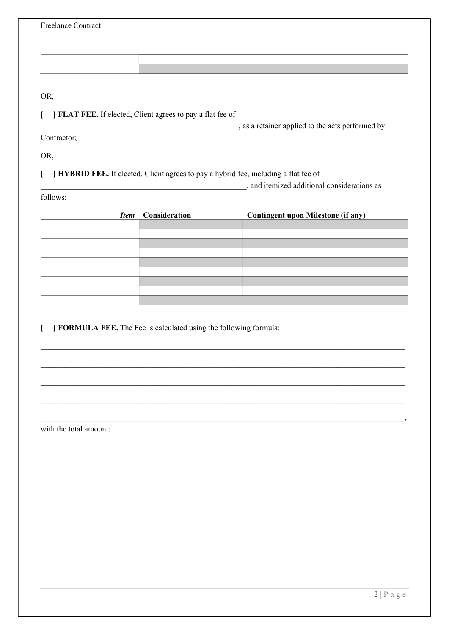| <b>Freelance Contract</b>                                                          |               |                                              |  |  |
|------------------------------------------------------------------------------------|---------------|----------------------------------------------|--|--|
|                                                                                    |               |                                              |  |  |
|                                                                                    |               |                                              |  |  |
|                                                                                    |               |                                              |  |  |
| OR,                                                                                |               |                                              |  |  |
| FLAT FEE. If elected, Client agrees to pay a flat fee of                           |               |                                              |  |  |
| as a retainer applied to the acts performed by                                     |               |                                              |  |  |
| Contractor;                                                                        |               |                                              |  |  |
| OR,                                                                                |               |                                              |  |  |
| HYBRID FEE. If elected, Client agrees to pay a hybrid fee, including a flat fee of |               |                                              |  |  |
|                                                                                    |               | _, and itemized additional considerations as |  |  |
| follows:                                                                           |               |                                              |  |  |
| <b>Item</b>                                                                        | Consideration | <b>Contingent upon Milestone (if any)</b>    |  |  |
|                                                                                    |               |                                              |  |  |
|                                                                                    |               |                                              |  |  |
|                                                                                    |               |                                              |  |  |
|                                                                                    |               |                                              |  |  |
|                                                                                    |               |                                              |  |  |
|                                                                                    |               |                                              |  |  |
| J FORMULA FEE. The Fee is calculated using the following formula:                  |               |                                              |  |  |

 $\mathcal{L}_\mathcal{L} = \mathcal{L}_\mathcal{L}$ 

 $\mathcal{L}_\mathcal{L} = \mathcal{L}_\mathcal{L} = \mathcal{L}_\mathcal{L} = \mathcal{L}_\mathcal{L} = \mathcal{L}_\mathcal{L} = \mathcal{L}_\mathcal{L} = \mathcal{L}_\mathcal{L} = \mathcal{L}_\mathcal{L} = \mathcal{L}_\mathcal{L} = \mathcal{L}_\mathcal{L} = \mathcal{L}_\mathcal{L} = \mathcal{L}_\mathcal{L} = \mathcal{L}_\mathcal{L} = \mathcal{L}_\mathcal{L} = \mathcal{L}_\mathcal{L} = \mathcal{L}_\mathcal{L} = \mathcal{L}_\mathcal{L}$ 

 $\mathcal{L}_\mathcal{L} = \mathcal{L}_\mathcal{L}$ 

 $\mathcal{L}_\mathcal{L} = \mathcal{L}_\mathcal{L}$ 

, the state of the state of the state of  $\mathcal{L}_1$ 

with the total amount: \_\_\_\_\_\_\_\_\_\_\_\_\_\_\_\_\_\_\_\_\_\_\_\_\_\_\_\_\_\_\_\_\_\_\_\_\_\_\_\_\_\_\_\_\_\_\_\_\_\_\_\_\_\_\_\_\_\_\_\_\_\_\_\_\_\_\_\_\_\_\_\_\_\_.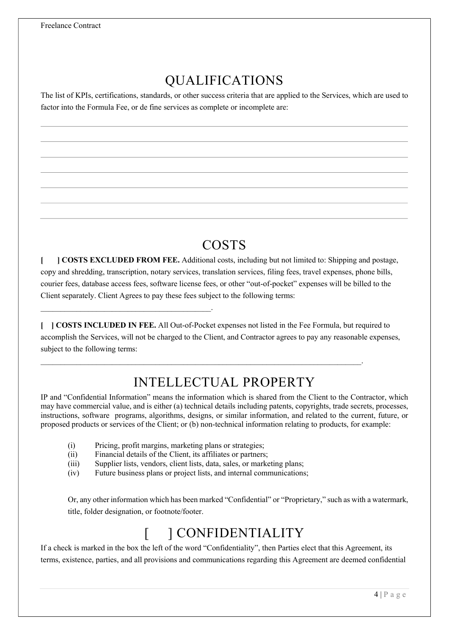# QUALIFICATIONS

The list of KPIs, certifications, standards, or other success criteria that are applied to the Services, which are used to factor into the Formula Fee, or de fine services as complete or incomplete are:

## COSTS

[ ] COSTS EXCLUDED FROM FEE. Additional costs, including but not limited to: Shipping and postage, copy and shredding, transcription, notary services, translation services, filing fees, travel expenses, phone bills, courier fees, database access fees, software license fees, or other "out-of-pocket" expenses will be billed to the Client separately. Client Agrees to pay these fees subject to the following terms:

[ ] COSTS INCLUDED IN FEE. All Out-of-Pocket expenses not listed in the Fee Formula, but required to accomplish the Services, will not be charged to the Client, and Contractor agrees to pay any reasonable expenses, subject to the following terms:

 $\mathcal{L}_\mathcal{L} = \mathcal{L}_\mathcal{L} = \mathcal{L}_\mathcal{L} = \mathcal{L}_\mathcal{L} = \mathcal{L}_\mathcal{L} = \mathcal{L}_\mathcal{L} = \mathcal{L}_\mathcal{L} = \mathcal{L}_\mathcal{L} = \mathcal{L}_\mathcal{L} = \mathcal{L}_\mathcal{L} = \mathcal{L}_\mathcal{L} = \mathcal{L}_\mathcal{L} = \mathcal{L}_\mathcal{L} = \mathcal{L}_\mathcal{L} = \mathcal{L}_\mathcal{L} = \mathcal{L}_\mathcal{L} = \mathcal{L}_\mathcal{L}$ 

# INTELLECTUAL PROPERTY

IP and "Confidential Information" means the information which is shared from the Client to the Contractor, which may have commercial value, and is either (a) technical details including patents, copyrights, trade secrets, processes, instructions, software programs, algorithms, designs, or similar information, and related to the current, future, or proposed products or services of the Client; or (b) non-technical information relating to products, for example:

(i) Pricing, profit margins, marketing plans or strategies;

\_\_\_\_\_\_\_\_\_\_\_\_\_\_\_\_\_\_\_\_\_\_\_\_\_\_\_\_\_\_\_\_\_\_\_\_\_\_\_\_\_\_\_.

- (ii) Financial details of the Client, its affiliates or partners;
- (iii) Supplier lists, vendors, client lists, data, sales, or marketing plans;
- (iv) Future business plans or project lists, and internal communications;

Or, any other information which has been marked "Confidential" or "Proprietary," such as with a watermark, title, folder designation, or footnote/footer.

# [ ] CONFIDENTIALITY

If a check is marked in the box the left of the word "Confidentiality", then Parties elect that this Agreement, its terms, existence, parties, and all provisions and communications regarding this Agreement are deemed confidential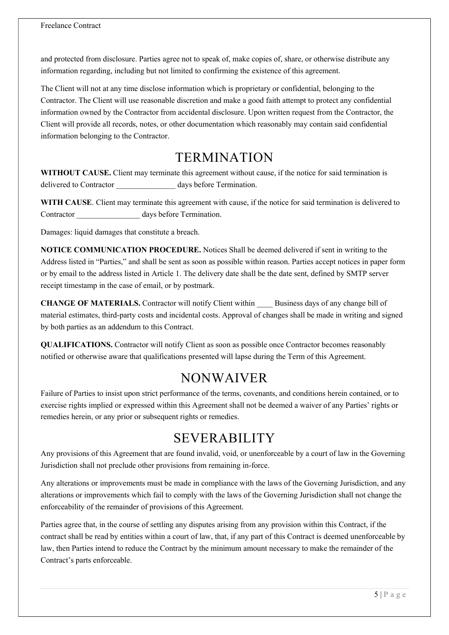and protected from disclosure. Parties agree not to speak of, make copies of, share, or otherwise distribute any information regarding, including but not limited to confirming the existence of this agreement.

The Client will not at any time disclose information which is proprietary or confidential, belonging to the Contractor. The Client will use reasonable discretion and make a good faith attempt to protect any confidential information owned by the Contractor from accidental disclosure. Upon written request from the Contractor, the Client will provide all records, notes, or other documentation which reasonably may contain said confidential information belonging to the Contractor.

#### TERMINATION

WITHOUT CAUSE. Client may terminate this agreement without cause, if the notice for said termination is delivered to Contractor days before Termination.

WITH CAUSE. Client may terminate this agreement with cause, if the notice for said termination is delivered to Contractor days before Termination.

Damages: liquid damages that constitute a breach.

NOTICE COMMUNICATION PROCEDURE. Notices Shall be deemed delivered if sent in writing to the Address listed in "Parties," and shall be sent as soon as possible within reason. Parties accept notices in paper form or by email to the address listed in Article 1. The delivery date shall be the date sent, defined by SMTP server receipt timestamp in the case of email, or by postmark.

CHANGE OF MATERIALS. Contractor will notify Client within \_\_\_\_ Business days of any change bill of material estimates, third-party costs and incidental costs. Approval of changes shall be made in writing and signed by both parties as an addendum to this Contract.

QUALIFICATIONS. Contractor will notify Client as soon as possible once Contractor becomes reasonably notified or otherwise aware that qualifications presented will lapse during the Term of this Agreement.

## NONWAIVER

Failure of Parties to insist upon strict performance of the terms, covenants, and conditions herein contained, or to exercise rights implied or expressed within this Agreement shall not be deemed a waiver of any Parties' rights or remedies herein, or any prior or subsequent rights or remedies.

# SEVERABILITY

Any provisions of this Agreement that are found invalid, void, or unenforceable by a court of law in the Governing Jurisdiction shall not preclude other provisions from remaining in-force.

Any alterations or improvements must be made in compliance with the laws of the Governing Jurisdiction, and any alterations or improvements which fail to comply with the laws of the Governing Jurisdiction shall not change the enforceability of the remainder of provisions of this Agreement.

Parties agree that, in the course of settling any disputes arising from any provision within this Contract, if the contract shall be read by entities within a court of law, that, if any part of this Contract is deemed unenforceable by law, then Parties intend to reduce the Contract by the minimum amount necessary to make the remainder of the Contract's parts enforceable.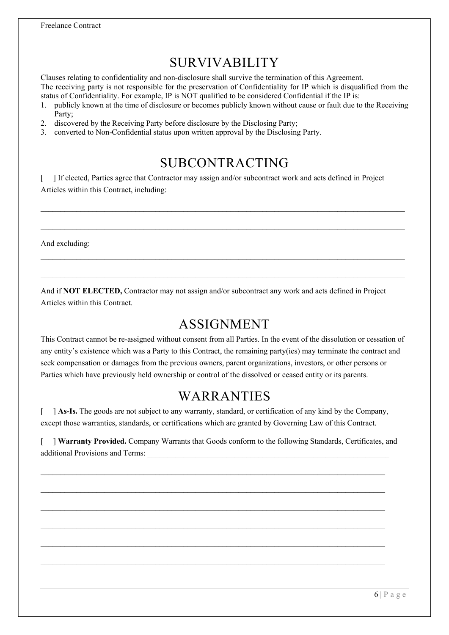# SURVIVABILITY

Clauses relating to confidentiality and non-disclosure shall survive the termination of this Agreement.

The receiving party is not responsible for the preservation of Confidentiality for IP which is disqualified from the status of Confidentiality. For example, IP is NOT qualified to be considered Confidential if the IP is:

- 1. publicly known at the time of disclosure or becomes publicly known without cause or fault due to the Receiving Party;
- 2. discovered by the Receiving Party before disclosure by the Disclosing Party;
- 3. converted to Non-Confidential status upon written approval by the Disclosing Party.

## SUBCONTRACTING

 $\mathcal{L}_\mathcal{L} = \mathcal{L}_\mathcal{L}$ 

 $\mathcal{L}_\mathcal{L} = \mathcal{L}_\mathcal{L}$ 

 $\_$  , and the set of the set of the set of the set of the set of the set of the set of the set of the set of the set of the set of the set of the set of the set of the set of the set of the set of the set of the set of th

[ ] If elected, Parties agree that Contractor may assign and/or subcontract work and acts defined in Project Articles within this Contract, including:

And excluding:

And if NOT ELECTED, Contractor may not assign and/or subcontract any work and acts defined in Project Articles within this Contract.

#### ASSIGNMENT

This Contract cannot be re-assigned without consent from all Parties. In the event of the dissolution or cessation of any entity's existence which was a Party to this Contract, the remaining party(ies) may terminate the contract and seek compensation or damages from the previous owners, parent organizations, investors, or other persons or Parties which have previously held ownership or control of the dissolved or ceased entity or its parents.

#### WARRANTIES

[ ] As-Is. The goods are not subject to any warranty, standard, or certification of any kind by the Company, except those warranties, standards, or certifications which are granted by Governing Law of this Contract.

[ ] Warranty Provided. Company Warrants that Goods conform to the following Standards, Certificates, and additional Provisions and Terms:

 $\mathcal{L}_\text{max} = \frac{1}{2} \sum_{i=1}^n \mathcal{L}_\text{max} = \frac{1}{2} \sum_{i=1}^n \mathcal{L}_\text{max} = \frac{1}{2} \sum_{i=1}^n \mathcal{L}_\text{max} = \frac{1}{2} \sum_{i=1}^n \mathcal{L}_\text{max} = \frac{1}{2} \sum_{i=1}^n \mathcal{L}_\text{max} = \frac{1}{2} \sum_{i=1}^n \mathcal{L}_\text{max} = \frac{1}{2} \sum_{i=1}^n \mathcal{L}_\text{max} = \frac{1}{2} \sum_{i=$ 

 $\mathcal{L}_\text{max}$ 

 $\mathcal{L}_\text{max}$ 

 $\_$  , and the set of the set of the set of the set of the set of the set of the set of the set of the set of the set of the set of the set of the set of the set of the set of the set of the set of the set of the set of th

 $\mathcal{L}_\text{max} = \frac{1}{2} \sum_{i=1}^n \mathcal{L}_\text{max} = \frac{1}{2} \sum_{i=1}^n \mathcal{L}_\text{max} = \frac{1}{2} \sum_{i=1}^n \mathcal{L}_\text{max} = \frac{1}{2} \sum_{i=1}^n \mathcal{L}_\text{max} = \frac{1}{2} \sum_{i=1}^n \mathcal{L}_\text{max} = \frac{1}{2} \sum_{i=1}^n \mathcal{L}_\text{max} = \frac{1}{2} \sum_{i=1}^n \mathcal{L}_\text{max} = \frac{1}{2} \sum_{i=$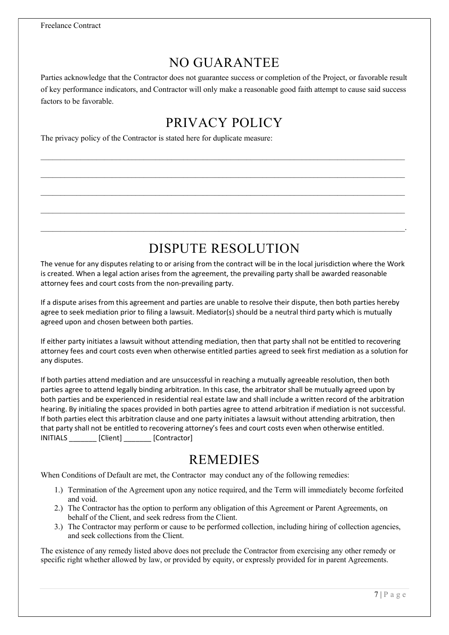## NO GUARANTEE

Parties acknowledge that the Contractor does not guarantee success or completion of the Project, or favorable result of key performance indicators, and Contractor will only make a reasonable good faith attempt to cause said success factors to be favorable.

# PRIVACY POLICY

 $\mathcal{L}_\mathcal{L} = \mathcal{L}_\mathcal{L}$ 

 $\mathcal{L}_\mathcal{L} = \mathcal{L}_\mathcal{L}$ 

 $\mathcal{L}_\mathcal{L} = \mathcal{L}_\mathcal{L}$ 

 $\mathcal{L}_\mathcal{L} = \mathcal{L}_\mathcal{L}$ 

 $\mathcal{L}_\mathcal{L} = \mathcal{L}_\mathcal{L} = \mathcal{L}_\mathcal{L} = \mathcal{L}_\mathcal{L} = \mathcal{L}_\mathcal{L} = \mathcal{L}_\mathcal{L} = \mathcal{L}_\mathcal{L} = \mathcal{L}_\mathcal{L} = \mathcal{L}_\mathcal{L} = \mathcal{L}_\mathcal{L} = \mathcal{L}_\mathcal{L} = \mathcal{L}_\mathcal{L} = \mathcal{L}_\mathcal{L} = \mathcal{L}_\mathcal{L} = \mathcal{L}_\mathcal{L} = \mathcal{L}_\mathcal{L} = \mathcal{L}_\mathcal{L}$ 

The privacy policy of the Contractor is stated here for duplicate measure:

# DISPUTE RESOLUTION

The venue for any disputes relating to or arising from the contract will be in the local jurisdiction where the Work is created. When a legal action arises from the agreement, the prevailing party shall be awarded reasonable attorney fees and court costs from the non-prevailing party.

If a dispute arises from this agreement and parties are unable to resolve their dispute, then both parties hereby agree to seek mediation prior to filing a lawsuit. Mediator(s) should be a neutral third party which is mutually agreed upon and chosen between both parties.

If either party initiates a lawsuit without attending mediation, then that party shall not be entitled to recovering attorney fees and court costs even when otherwise entitled parties agreed to seek first mediation as a solution for any disputes.

If both parties attend mediation and are unsuccessful in reaching a mutually agreeable resolution, then both parties agree to attend legally binding arbitration. In this case, the arbitrator shall be mutually agreed upon by both parties and be experienced in residential real estate law and shall include a written record of the arbitration hearing. By initialing the spaces provided in both parties agree to attend arbitration if mediation is not successful. If both parties elect this arbitration clause and one party initiates a lawsuit without attending arbitration, then that party shall not be entitled to recovering attorney's fees and court costs even when otherwise entitled. INITIALS \_\_\_\_\_\_\_ [Client] \_\_\_\_\_\_\_ [Contractor]

#### **REMEDIES**

When Conditions of Default are met, the Contractor may conduct any of the following remedies:

- 1.) Termination of the Agreement upon any notice required, and the Term will immediately become forfeited and void.
- 2.) The Contractor has the option to perform any obligation of this Agreement or Parent Agreements, on behalf of the Client, and seek redress from the Client.
- 3.) The Contractor may perform or cause to be performed collection, including hiring of collection agencies, and seek collections from the Client.

The existence of any remedy listed above does not preclude the Contractor from exercising any other remedy or specific right whether allowed by law, or provided by equity, or expressly provided for in parent Agreements.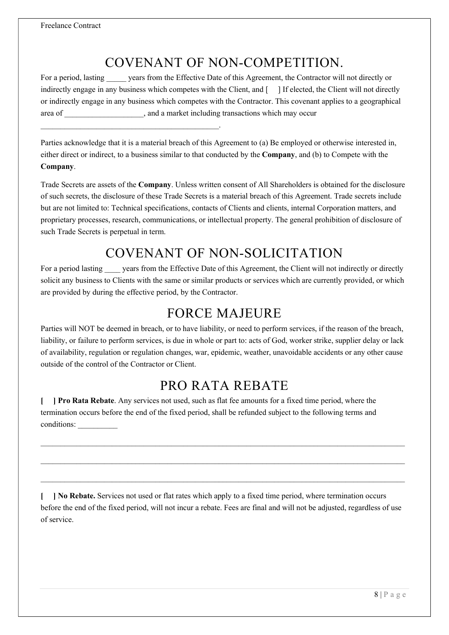$\mathcal{L}_\text{max}$  and the contract of the contract of the contract of the contract of the contract of the contract of the contract of the contract of the contract of the contract of the contract of the contract of the contrac

# COVENANT OF NON-COMPETITION.

For a period, lasting years from the Effective Date of this Agreement, the Contractor will not directly or indirectly engage in any business which competes with the Client, and [ ] If elected, the Client will not directly or indirectly engage in any business which competes with the Contractor. This covenant applies to a geographical area of  $\Box$ , and a market including transactions which may occur

Parties acknowledge that it is a material breach of this Agreement to (a) Be employed or otherwise interested in, either direct or indirect, to a business similar to that conducted by the Company, and (b) to Compete with the Company.

Trade Secrets are assets of the Company. Unless written consent of All Shareholders is obtained for the disclosure of such secrets, the disclosure of these Trade Secrets is a material breach of this Agreement. Trade secrets include but are not limited to: Technical specifications, contacts of Clients and clients, internal Corporation matters, and proprietary processes, research, communications, or intellectual property. The general prohibition of disclosure of such Trade Secrets is perpetual in term.

## COVENANT OF NON-SOLICITATION

For a period lasting years from the Effective Date of this Agreement, the Client will not indirectly or directly solicit any business to Clients with the same or similar products or services which are currently provided, or which are provided by during the effective period, by the Contractor.

## FORCE MAJEURE

Parties will NOT be deemed in breach, or to have liability, or need to perform services, if the reason of the breach, liability, or failure to perform services, is due in whole or part to: acts of God, worker strike, supplier delay or lack of availability, regulation or regulation changes, war, epidemic, weather, unavoidable accidents or any other cause outside of the control of the Contractor or Client.

# PRO RATA REBATE

[ ] Pro Rata Rebate. Any services not used, such as flat fee amounts for a fixed time period, where the termination occurs before the end of the fixed period, shall be refunded subject to the following terms and conditions:

[ ] No Rebate. Services not used or flat rates which apply to a fixed time period, where termination occurs before the end of the fixed period, will not incur a rebate. Fees are final and will not be adjusted, regardless of use of service.

 $\mathcal{L}_\mathcal{L} = \mathcal{L}_\mathcal{L}$ 

 $\mathcal{L}_\mathcal{L} = \mathcal{L}_\mathcal{L} = \mathcal{L}_\mathcal{L} = \mathcal{L}_\mathcal{L} = \mathcal{L}_\mathcal{L} = \mathcal{L}_\mathcal{L} = \mathcal{L}_\mathcal{L} = \mathcal{L}_\mathcal{L} = \mathcal{L}_\mathcal{L} = \mathcal{L}_\mathcal{L} = \mathcal{L}_\mathcal{L} = \mathcal{L}_\mathcal{L} = \mathcal{L}_\mathcal{L} = \mathcal{L}_\mathcal{L} = \mathcal{L}_\mathcal{L} = \mathcal{L}_\mathcal{L} = \mathcal{L}_\mathcal{L}$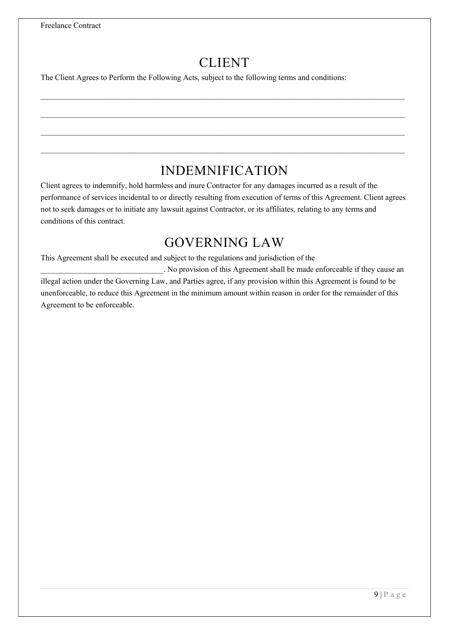# CLIENT

 $\_$  , and the set of the set of the set of the set of the set of the set of the set of the set of the set of the set of the set of the set of the set of the set of the set of the set of the set of the set of the set of th

 $\mathcal{L}_\mathcal{L} = \mathcal{L}_\mathcal{L}$ 

 $\mathcal{L}_\mathcal{L} = \mathcal{L}_\mathcal{L}$ 

The Client Agrees to Perform the Following Acts, subject to the following terms and conditions:

## INDEMNIFICATION

Client agrees to indemnify, hold harmless and inure Contractor for any damages incurred as a result of the performance of services incidental to or directly resulting from execution of terms of this Agreement. Client agrees not to seek damages or to initiate any lawsuit against Contractor, or its affiliates, relating to any terms and conditions of this contract.

#### GOVERNING LAW

This Agreement shall be executed and subject to the regulations and jurisdiction of the

. No provision of this Agreement shall be made enforceable if they cause an illegal action under the Governing Law, and Parties agree, if any provision within this Agreement is found to be unenforceable, to reduce this Agreement in the minimum amount within reason in order for the remainder of this Agreement to be enforceable.